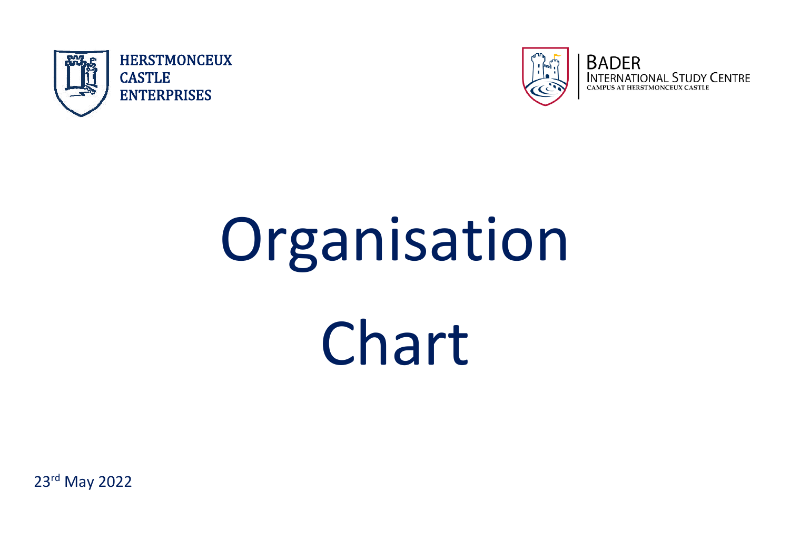



# Organisation Chart

23rd May 2022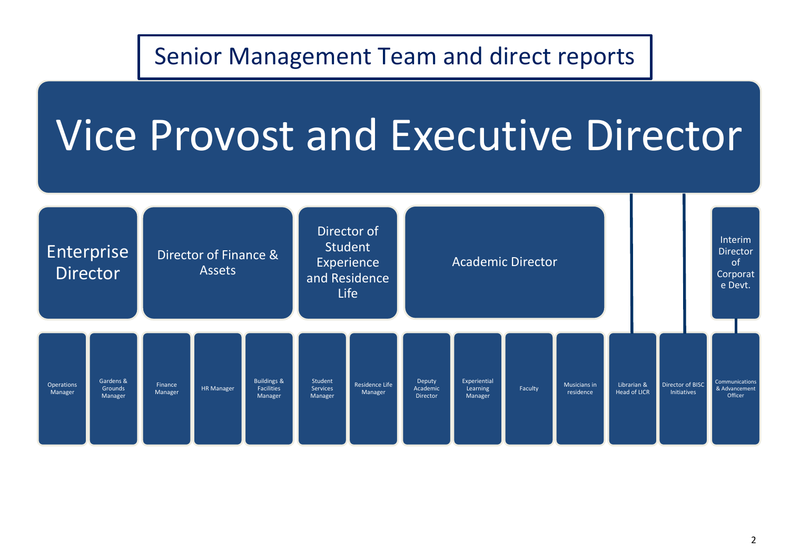# Senior Management Team and direct reports

# Vice Provost and Executive Director

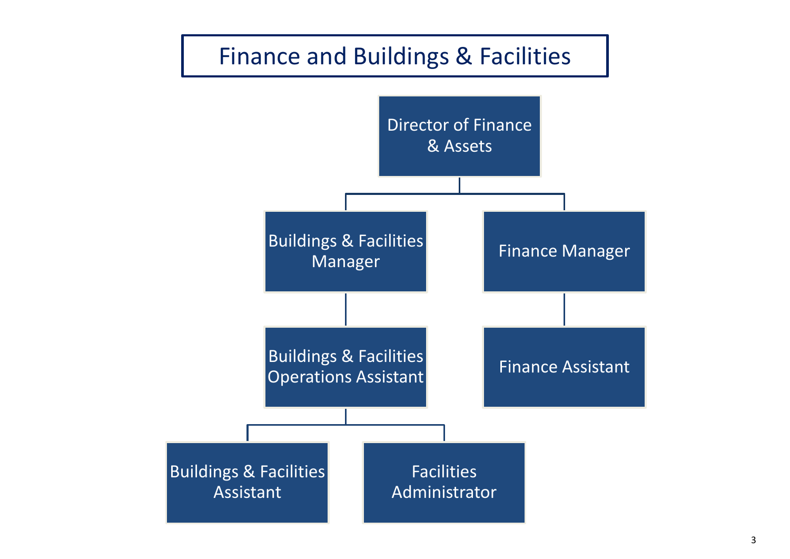### Finance and Buildings & Facilities

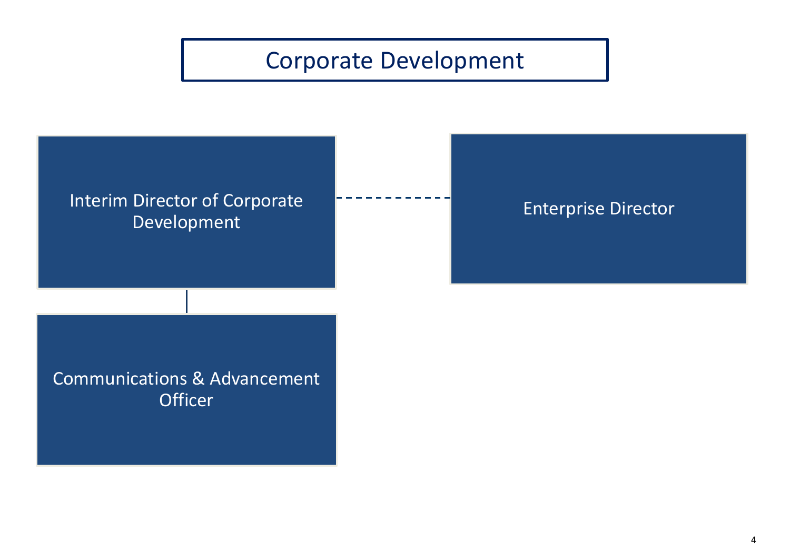# Corporate Development

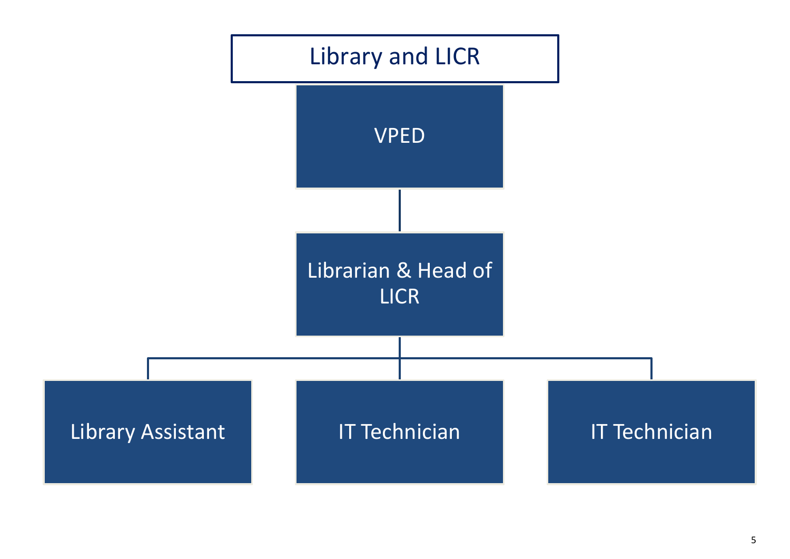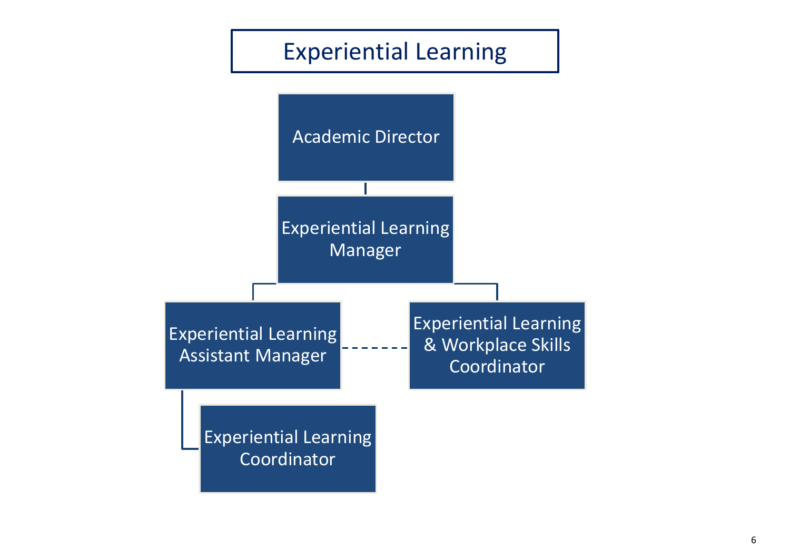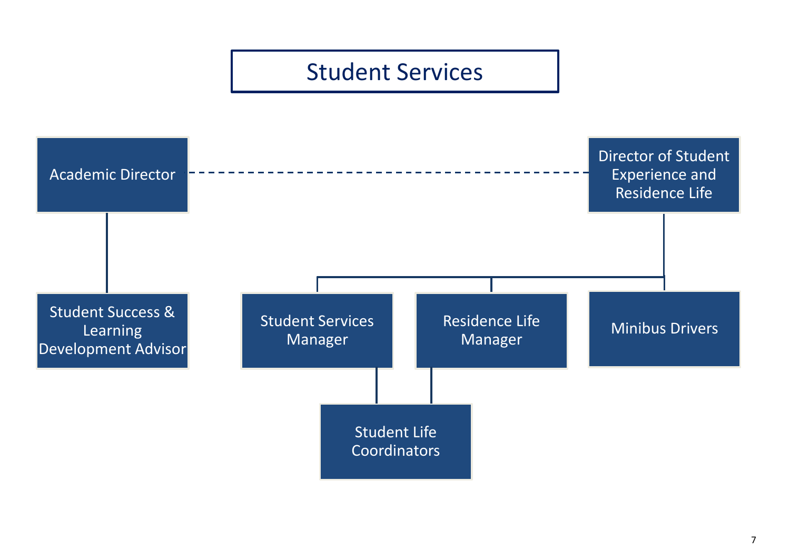#### Student Services

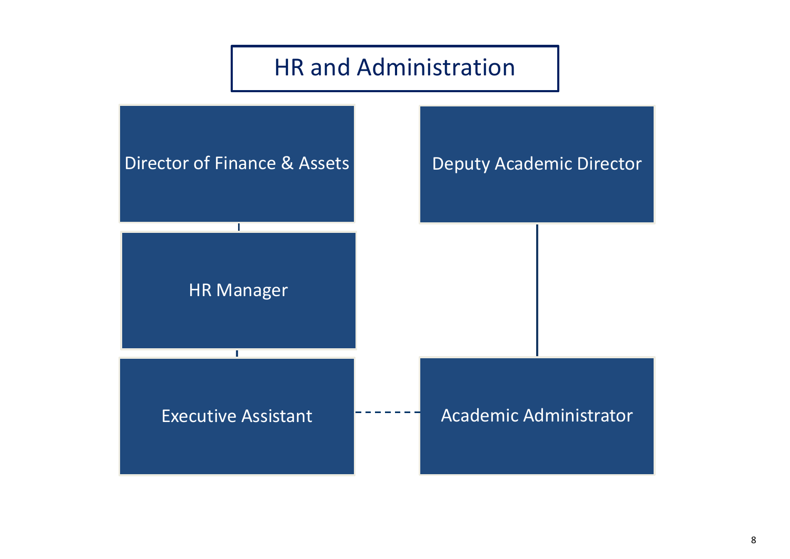#### HR and Administration

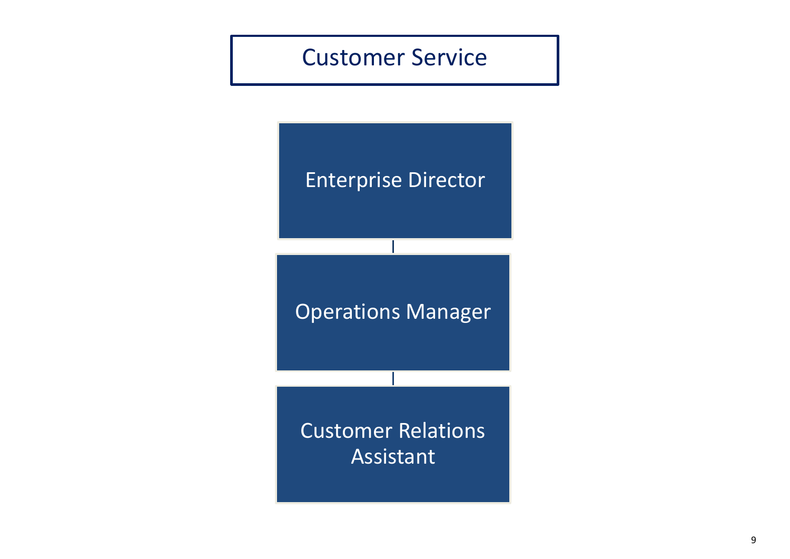#### Customer Service

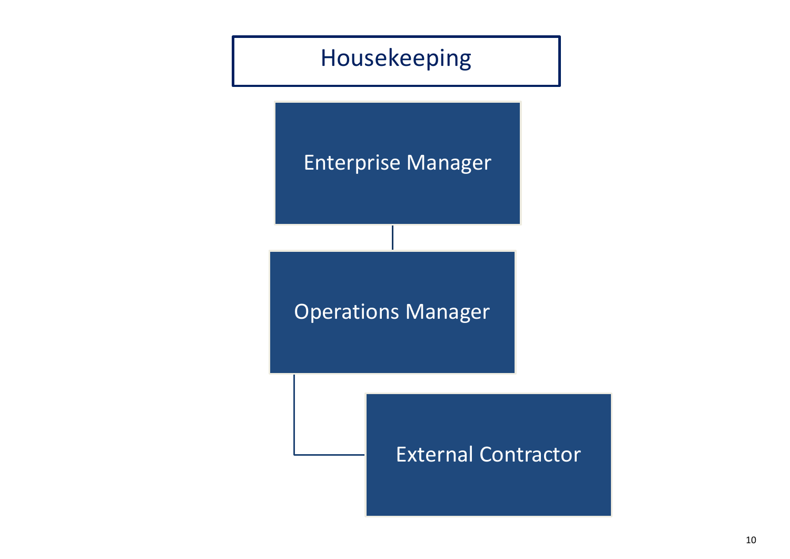# Housekeeping

#### Enterprise Manager

Operations Manager

#### External Contractor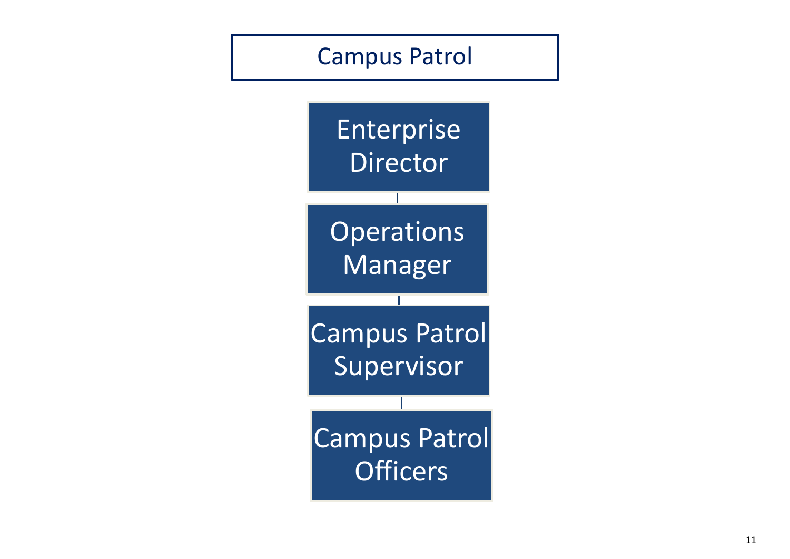#### Campus Patrol

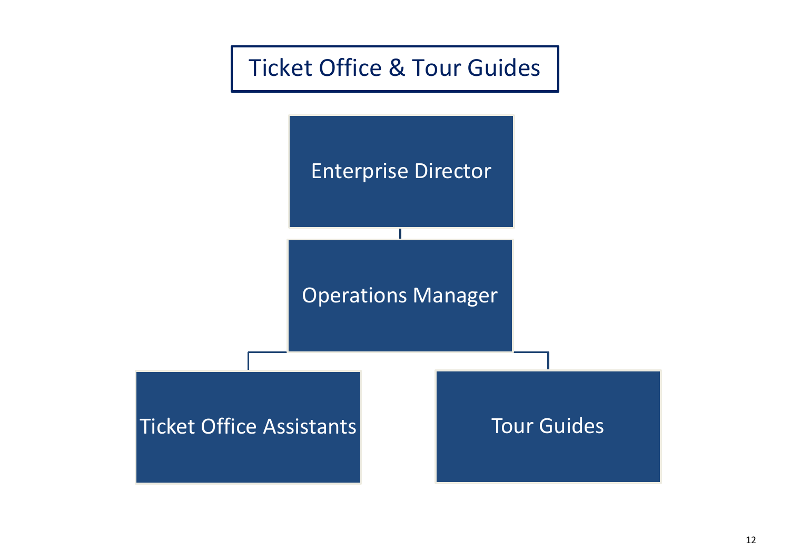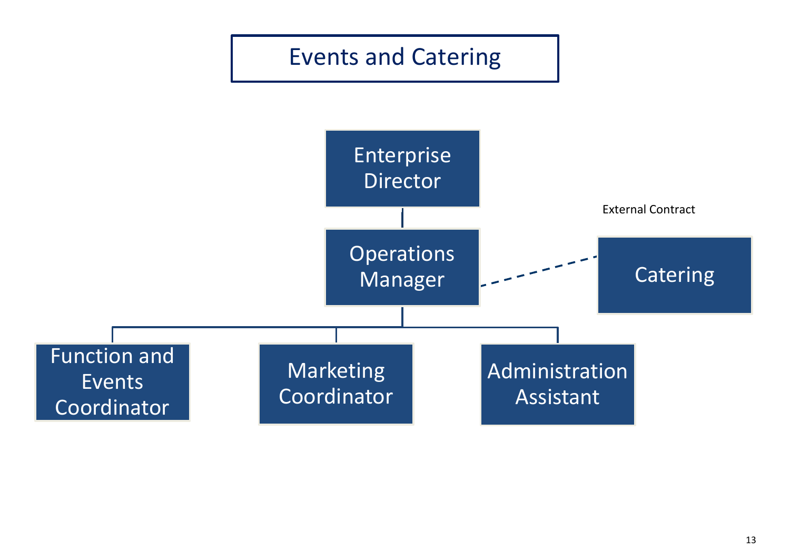